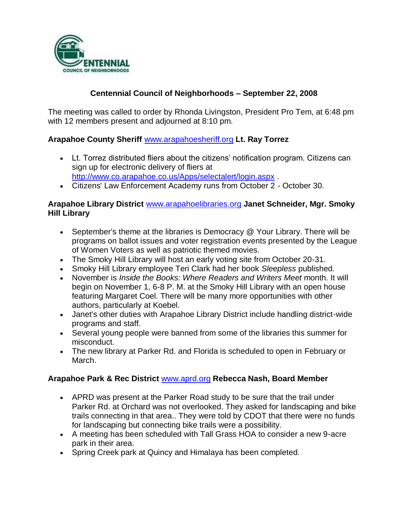

# **Centennial Council of Neighborhoods – September 22, 2008**

The meeting was called to order by Rhonda Livingston, President Pro Tem, at 6:48 pm with 12 members present and adjourned at 8:10 pm.

## **Arapahoe County Sheriff** [www.arapahoesheriff.org](http://www.arapahoesheriff.org/) **Lt. Ray Torrez**

- Lt. Torrez distributed fliers about the citizens' notification program. Citizens can sign up for electronic delivery of fliers at <http://www.co.arapahoe.co.us/Apps/selectalert/login.aspx> .
- Citizens' Law Enforcement Academy runs from October 2 October 30.

### **Arapahoe Library District** [www.arapahoelibraries.org](http://www.arapahoelibraries.org/) **Janet Schneider, Mgr. Smoky Hill Library**

- September's theme at the libraries is Democracy @ Your Library. There will be programs on ballot issues and voter registration events presented by the League of Women Voters as well as patriotic themed movies.
- The Smoky Hill Library will host an early voting site from October 20-31.
- Smoky Hill Library employee Teri Clark had her book *Sleepless* published*.*
- November is *Inside the Books: Where Readers and Writers Meet* month. It will begin on November 1, 6-8 P. M. at the Smoky Hill Library with an open house featuring Margaret Coel. There will be many more opportunities with other authors, particularly at Koebel.
- Janet's other duties with Arapahoe Library District include handling district-wide programs and staff.
- Several young people were banned from some of the libraries this summer for misconduct.
- The new library at Parker Rd. and Florida is scheduled to open in February or March.

### **Arapahoe Park & Rec District** [www.aprd.org](http://www.aprd.org/) **Rebecca Nash, Board Member**

- APRD was present at the Parker Road study to be sure that the trail under Parker Rd. at Orchard was not overlooked. They asked for landscaping and bike trails connecting in that area.. They were told by CDOT that there were no funds for landscaping but connecting bike trails were a possibility.
- A meeting has been scheduled with Tall Grass HOA to consider a new 9-acre park in their area.
- Spring Creek park at Quincy and Himalaya has been completed.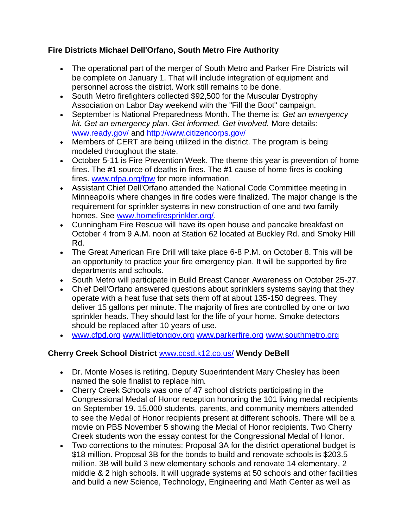## **Fire Districts Michael Dell'Orfano, South Metro Fire Authority**

- The operational part of the merger of South Metro and Parker Fire Districts will be complete on January 1. That will include integration of equipment and personnel across the district. Work still remains to be done.
- South Metro firefighters collected \$92,500 for the Muscular Dystrophy Association on Labor Day weekend with the "Fill the Boot" campaign.
- September is National Preparedness Month. The theme is: *Get an emergency kit. Get an emergency plan. Get informed. Get involved.* More details: www.ready.gov/ and http://www.citizencorps.gov/
- Members of CERT are being utilized in the district. The program is being modeled throughout the state.
- October 5-11 is Fire Prevention Week. The theme this year is prevention of home fires. The #1 source of deaths in fires. The #1 cause of home fires is cooking fires. [www.nfpa.org/fpw](http://www.nfpa.org/fpw) for more information.
- Assistant Chief Dell'Orfano attended the National Code Committee meeting in Minneapolis where changes in fire codes were finalized. The major change is the requirement for sprinkler systems in new construction of one and two family homes. See [www.homefiresprinkler.org/.](http://www.homefiresprinkler.org/)
- Cunningham Fire Rescue will have its open house and pancake breakfast on October 4 from 9 A.M. noon at Station 62 located at Buckley Rd. and Smoky Hill Rd.
- The Great American Fire Drill will take place 6-8 P.M. on October 8. This will be an opportunity to practice your fire emergency plan. It will be supported by fire departments and schools.
- South Metro will participate in Build Breast Cancer Awareness on October 25-27.
- Chief Dell'Orfano answered questions about sprinklers systems saying that they operate with a heat fuse that sets them off at about 135-150 degrees. They deliver 15 gallons per minute. The majority of fires are controlled by one or two sprinkler heads. They should last for the life of your home. Smoke detectors should be replaced after 10 years of use.
- [www.cfpd.org](http://www.cfpd.org/) [www.littletongov.org](http://www.littletongov.org/) [www.parkerfire.org](http://www.parkerfire.org/) [www.southmetro.org](http://www.southmetro.org/)

# **Cherry Creek School District** [www.ccsd.k12.co.us/](http://www.ccsd.k12.co.us/) **Wendy DeBell**

- Dr. Monte Moses is retiring. Deputy Superintendent Mary Chesley has been named the sole finalist to replace him.
- Cherry Creek Schools was one of 47 school districts participating in the Congressional Medal of Honor reception honoring the 101 living medal recipients on September 19. 15,000 students, parents, and community members attended to see the Medal of Honor recipients present at different schools. There will be a movie on PBS November 5 showing the Medal of Honor recipients. Two Cherry Creek students won the essay contest for the Congressional Medal of Honor.
- Two corrections to the minutes: Proposal 3A for the district operational budget is \$18 million. Proposal 3B for the bonds to build and renovate schools is \$203.5 million. 3B will build 3 new elementary schools and renovate 14 elementary, 2 middle & 2 high schools. It will upgrade systems at 50 schools and other facilities and build a new Science, Technology, Engineering and Math Center as well as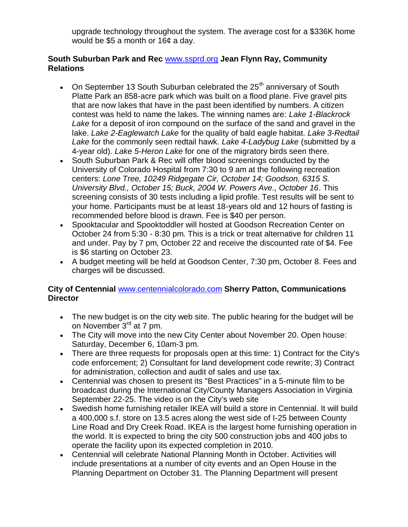upgrade technology throughout the system. The average cost for a \$336K home would be \$5 a month or 16¢ a day.

### **South Suburban Park and Rec** [www.ssprd.org](http://www.ssprd.org/) **Jean Flynn Ray, Community Relations**

- On September 13 South Suburban celebrated the  $25<sup>th</sup>$  anniversary of South Platte Park an 858-acre park which was built on a flood plane. Five gravel pits that are now lakes that have in the past been identified by numbers. A citizen contest was held to name the lakes. The winning names are: *Lake 1-Blackrock Lake* for a deposit of iron compound on the surface of the sand and gravel in the lake. *Lake 2-Eaglewatch Lake* for the quality of bald eagle habitat. *Lake 3-Redtail Lake* for the commonly seen redtail hawk. *Lake 4-Ladybug Lake* (submitted by a 4-year old). *Lake 5-Heron Lake* for one of the migratory birds seen there.
- South Suburban Park & Rec will offer blood screenings conducted by the University of Colorado Hospital from 7:30 to 9 am at the following recreation centers: *Lone Tree, 10249 Ridgegate Cir, October 14; Goodson, 6315 S. University Blvd., October 15; Buck, 2004 W. Powers Ave., October 16*. This screening consists of 30 tests including a lipid profile. Test results will be sent to your home. Participants must be at least 18-years old and 12 hours of fasting is recommended before blood is drawn. Fee is \$40 per person.
- Spooktacular and Spooktoddler will hosted at Goodson Recreation Center on October 24 from 5:30 - 8:30 pm. This is a trick or treat alternative for children 11 and under. Pay by 7 pm, October 22 and receive the discounted rate of \$4. Fee is \$6 starting on October 23.
- A budget meeting will be held at Goodson Center, 7:30 pm, October 8. Fees and charges will be discussed.

## **City of Centennial** [www.centennialcolorado.com](http://www.centennialcolorado.com/) **Sherry Patton, Communications Director**

- The new budget is on the city web site. The public hearing for the budget will be on November 3<sup>rd</sup> at 7 pm.
- The City will move into the new City Center about November 20. Open house: Saturday, December 6, 10am-3 pm.
- There are three requests for proposals open at this time: 1) Contract for the City's code enforcement; 2) Consultant for land development code rewrite; 3) Contract for administration, collection and audit of sales and use tax.
- Centennial was chosen to present its "Best Practices" in a 5-minute film to be broadcast during the International City/County Managers Association in Virginia September 22-25. The video is on the City's web site
- Swedish home furnishing retailer IKEA will build a store in Centennial. It will build a 400,000 s.f. store on 13.5 acres along the west side of I-25 between County Line Road and Dry Creek Road. IKEA is the largest home furnishing operation in the world. It is expected to bring the city 500 construction jobs and 400 jobs to operate the facility upon its expected completion in 2010.
- Centennial will celebrate National Planning Month in October. Activities will include presentations at a number of city events and an Open House in the Planning Department on October 31. The Planning Department will present